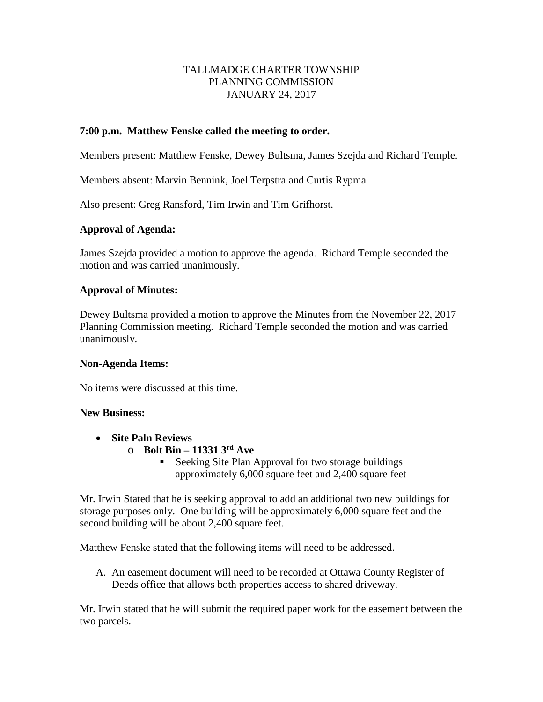#### TALLMADGE CHARTER TOWNSHIP PLANNING COMMISSION JANUARY 24, 2017

#### **7:00 p.m. Matthew Fenske called the meeting to order.**

Members present: Matthew Fenske, Dewey Bultsma, James Szejda and Richard Temple.

Members absent: Marvin Bennink, Joel Terpstra and Curtis Rypma

Also present: Greg Ransford, Tim Irwin and Tim Grifhorst.

# **Approval of Agenda:**

James Szejda provided a motion to approve the agenda. Richard Temple seconded the motion and was carried unanimously.

#### **Approval of Minutes:**

Dewey Bultsma provided a motion to approve the Minutes from the November 22, 2017 Planning Commission meeting. Richard Temple seconded the motion and was carried unanimously.

#### **Non-Agenda Items:**

No items were discussed at this time.

#### **New Business:**

- **Site Paln Reviews**
	- o **Bolt Bin – 11331 3rd Ave**
		- Seeking Site Plan Approval for two storage buildings approximately 6,000 square feet and 2,400 square feet

Mr. Irwin Stated that he is seeking approval to add an additional two new buildings for storage purposes only. One building will be approximately 6,000 square feet and the second building will be about 2,400 square feet.

Matthew Fenske stated that the following items will need to be addressed.

A. An easement document will need to be recorded at Ottawa County Register of Deeds office that allows both properties access to shared driveway.

Mr. Irwin stated that he will submit the required paper work for the easement between the two parcels.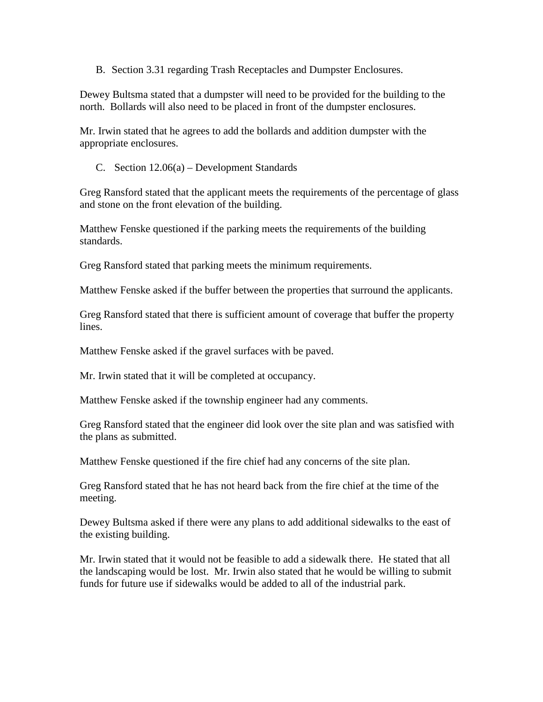B. Section 3.31 regarding Trash Receptacles and Dumpster Enclosures.

Dewey Bultsma stated that a dumpster will need to be provided for the building to the north. Bollards will also need to be placed in front of the dumpster enclosures.

Mr. Irwin stated that he agrees to add the bollards and addition dumpster with the appropriate enclosures.

C. Section 12.06(a) – Development Standards

Greg Ransford stated that the applicant meets the requirements of the percentage of glass and stone on the front elevation of the building.

Matthew Fenske questioned if the parking meets the requirements of the building standards.

Greg Ransford stated that parking meets the minimum requirements.

Matthew Fenske asked if the buffer between the properties that surround the applicants.

Greg Ransford stated that there is sufficient amount of coverage that buffer the property lines.

Matthew Fenske asked if the gravel surfaces with be paved.

Mr. Irwin stated that it will be completed at occupancy.

Matthew Fenske asked if the township engineer had any comments.

Greg Ransford stated that the engineer did look over the site plan and was satisfied with the plans as submitted.

Matthew Fenske questioned if the fire chief had any concerns of the site plan.

Greg Ransford stated that he has not heard back from the fire chief at the time of the meeting.

Dewey Bultsma asked if there were any plans to add additional sidewalks to the east of the existing building.

Mr. Irwin stated that it would not be feasible to add a sidewalk there. He stated that all the landscaping would be lost. Mr. Irwin also stated that he would be willing to submit funds for future use if sidewalks would be added to all of the industrial park.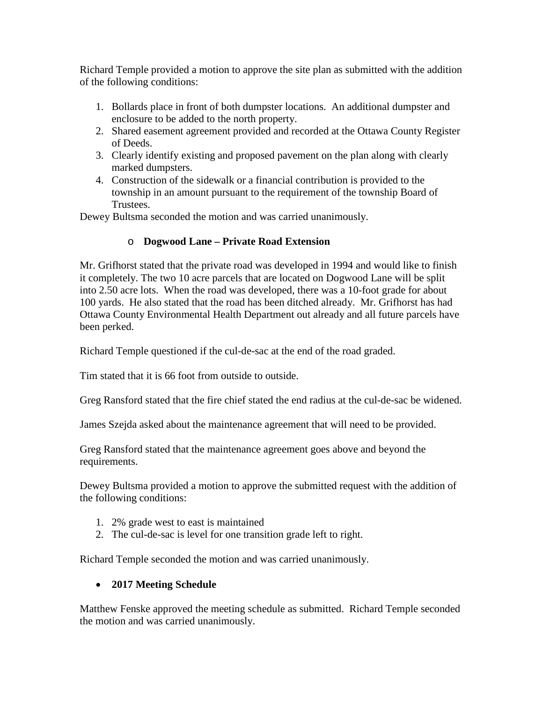Richard Temple provided a motion to approve the site plan as submitted with the addition of the following conditions:

- 1. Bollards place in front of both dumpster locations. An additional dumpster and enclosure to be added to the north property.
- 2. Shared easement agreement provided and recorded at the Ottawa County Register of Deeds.
- 3. Clearly identify existing and proposed pavement on the plan along with clearly marked dumpsters.
- 4. Construction of the sidewalk or a financial contribution is provided to the township in an amount pursuant to the requirement of the township Board of Trustees.

Dewey Bultsma seconded the motion and was carried unanimously.

# o **Dogwood Lane – Private Road Extension**

Mr. Grifhorst stated that the private road was developed in 1994 and would like to finish it completely. The two 10 acre parcels that are located on Dogwood Lane will be split into 2.50 acre lots. When the road was developed, there was a 10-foot grade for about 100 yards. He also stated that the road has been ditched already. Mr. Grifhorst has had Ottawa County Environmental Health Department out already and all future parcels have been perked.

Richard Temple questioned if the cul-de-sac at the end of the road graded.

Tim stated that it is 66 foot from outside to outside.

Greg Ransford stated that the fire chief stated the end radius at the cul-de-sac be widened.

James Szejda asked about the maintenance agreement that will need to be provided.

Greg Ransford stated that the maintenance agreement goes above and beyond the requirements.

Dewey Bultsma provided a motion to approve the submitted request with the addition of the following conditions:

- 1. 2% grade west to east is maintained
- 2. The cul-de-sac is level for one transition grade left to right.

Richard Temple seconded the motion and was carried unanimously.

# • **2017 Meeting Schedule**

Matthew Fenske approved the meeting schedule as submitted. Richard Temple seconded the motion and was carried unanimously.